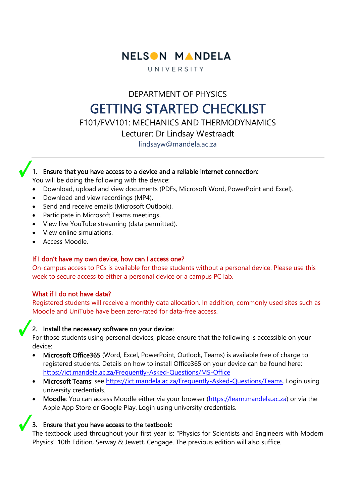

UNIVERSITY

DEPARTMENT OF PHYSICS

# GETTING STARTED CHECKLIST

F101/FVV101: MECHANICS AND THERMODYNAMICS

Lecturer: Dr Lindsay Westraadt

lindsayw@mandela.ac.za

## 1. Ensure that you have access to a device and a reliable internet connection:

You will be doing the following with the device:

- Download, upload and view documents (PDFs, Microsoft Word, PowerPoint and Excel).
- Download and view recordings (MP4).
- Send and receive emails (Microsoft Outlook).
- Participate in Microsoft Teams meetings.
- View live YouTube streaming (data permitted).
- View online simulations.
- Access Moodle.

### If I don't have my own device, how can I access one?

On-campus access to PCs is available for those students without a personal device. Please use this week to secure access to either a personal device or a campus PC lab.

### What if I do not have data?

Registered students will receive a monthly data allocation. In addition, commonly used sites such as Moodle and UniTube have been zero-rated for data-free access.

### 2. Install the necessary software on your device:

For those students using personal devices, please ensure that the following is accessible on your device:

- Microsoft Office365 (Word, Excel, PowerPoint, Outlook, Teams) is available free of charge to registered students. Details on how to install Office365 on your device can be found here: <https://ict.mandela.ac.za/Frequently-Asked-Questions/MS-Office>
- Microsoft Teams: see [https://ict.mandela.ac.za/Frequently-Asked-Questions/Teams.](https://ict.mandela.ac.za/Frequently-Asked-Questions/Teams) Login using university credentials.
- Moodle: You can access Moodle either via your browser [\(https://learn.mandela.ac.za\)](https://learn.mandela.ac.za/) or via the Apple App Store or Google Play. Login using university credentials.

## 3. Ensure that you have access to the textbook:

The textbook used throughout your first year is: "Physics for Scientists and Engineers with Modern Physics" 10th Edition, Serway & Jewett, Cengage. The previous edition will also suffice.